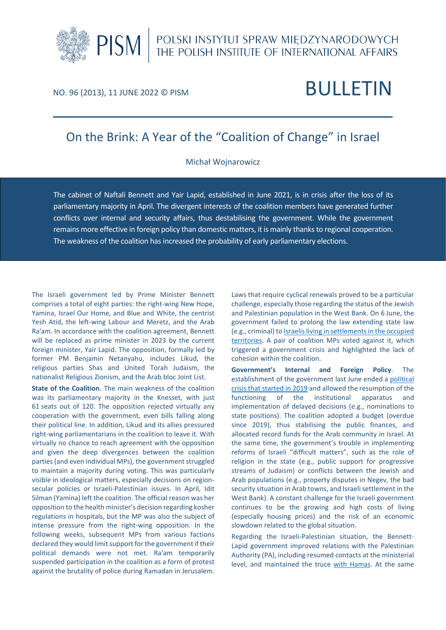

# NO. 96 (2013), 11 JUNE 2022 © PISM BULLETIN

## On the Brink: A Year of the "Coalition of Change" in Israel

### Michał Wojnarowicz

The cabinet of Naftali Bennett and Yair Lapid, established in June 2021, is in crisis after the loss of its parliamentary majority in April. The divergent interests of the coalition members have generated further conflicts over internal and security affairs, thus destabilising the government. While the government remains more effective in foreign policy than domestic matters, it is mainly thanks to regional cooperation. The weakness of the coalition has increased the probability of early parliamentary elections.

The Israeli government led by Prime Minister Bennett comprises a total of eight parties: the right-wing New Hope, Yamina, Israel Our Home, and Blue and White, the centrist Yesh Atid, the left-wing Labour and Meretz, and the Arab Ra'am. In accordance with the coalition agreement, Bennett will be replaced as prime minister in 2023 by the current foreign minister, Yair Lapid. The opposition, formally led by former PM Benjamin Netanyahu, includes Likud, the religious parties Shas and United Torah Judaism, the nationalist Religious Zionism, and the Arab bloc Joint List.

**State of the Coalition**. The main weakness of the coalition was its parliamentary majority in the Knesset, with just 61 seats out of 120. The opposition rejected virtually any cooperation with the government, even bills falling along their political line. In addition, Likud and its allies pressured right-wing parliamentarians in the coalition to leave it. With virtually no chance to reach agreement with the opposition and given the deep divergences between the coalition parties(and even individual MPs), the government struggled to maintain a majority during voting. This was particularly visible in ideological matters, especially decisions on regionsecular policies or Israeli-Palestinian issues. In April, Idit Silman (Yamina) left the coalition. The official reason was her opposition to the health minister's decision regarding kosher regulations in hospitals, but the MP was also the subject of intense pressure from the right-wing opposition. In the following weeks, subsequent MPs from various factions declared they would limit support for the government if their political demands were not met. Ra'am temporarily suspended participation in the coalition as a form of protest against the brutality of police during Ramadan in Jerusalem.

Laws that require cyclical renewals proved to be a particular challenge, especially those regarding the status of the Jewish and Palestinian population in the West Bank. On 6 June, the government failed to prolong the law extending state law (e.g., criminal) to *Israelis living in settlements in the occupied* [territories.](https://pism.pl/publications/Settlement_Annexation_on_the_West_Bank_Legal_and_Political_Context) A pair of coalition MPs voted against it, which triggered a government crisis and highlighted the lack of cohesion within the coalition.

**Government's Internal and Foreign Policy**. The establishment of the government last June ended a [political](https://pism.pl/publications/United_Opposition_The_Government_of_Change_Against_Netanyahu) crisis that [started](https://pism.pl/publications/United_Opposition_The_Government_of_Change_Against_Netanyahu) in 2019 and allowed the resumption of the functioning of the institutional apparatus and implementation of delayed decisions (e.g., nominations to state positions). The coalition adopted a budget (overdue since 2019), thus stabilising the public finances, and allocated record funds for the Arab community in Israel. At the same time, the government's trouble in implementing reforms of Israeli "difficult matters", such as the role of religion in the state (e.g., public support for progressive streams of Judaism) or conflicts between the Jewish and Arab populations (e.g., property disputes in Negev, the bad security situation in Arab towns, and Israeli settlement in the West Bank). A constant challenge for the Israeli government continues to be the growing and high costs of living (especially housing prices) and the risk of an economic slowdown related to the global situation.

Regarding the Israeli-Palestinian situation, the Bennett-Lapid government improved relations with the Palestinian Authority (PA), including resumed contacts at the ministerial level, and maintained the truce with [Hamas.](https://www.pism.pl/publications/IsraeliPalestinian_ConflictEscalation_and_Significance) At the same